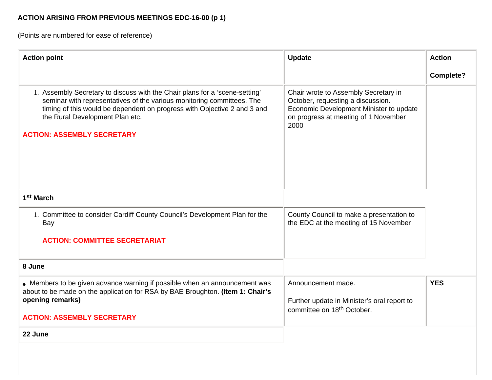# **ACTION ARISING FROM PREVIOUS MEETINGS EDC-16-00 (p 1)**

(Points are numbered for ease of reference)

| <b>Action point</b>                                                                                                                                                                                                                                                                                       | <b>Update</b>                                                                                                                                                        | <b>Action</b>    |
|-----------------------------------------------------------------------------------------------------------------------------------------------------------------------------------------------------------------------------------------------------------------------------------------------------------|----------------------------------------------------------------------------------------------------------------------------------------------------------------------|------------------|
|                                                                                                                                                                                                                                                                                                           |                                                                                                                                                                      | <b>Complete?</b> |
| 1. Assembly Secretary to discuss with the Chair plans for a 'scene-setting'<br>seminar with representatives of the various monitoring committees. The<br>timing of this would be dependent on progress with Objective 2 and 3 and<br>the Rural Development Plan etc.<br><b>ACTION: ASSEMBLY SECRETARY</b> | Chair wrote to Assembly Secretary in<br>October, requesting a discussion.<br>Economic Development Minister to update<br>on progress at meeting of 1 November<br>2000 |                  |
| 1 <sup>st</sup> March                                                                                                                                                                                                                                                                                     |                                                                                                                                                                      |                  |
| 1. Committee to consider Cardiff County Council's Development Plan for the<br>Bay                                                                                                                                                                                                                         | County Council to make a presentation to<br>the EDC at the meeting of 15 November                                                                                    |                  |
| <b>ACTION: COMMITTEE SECRETARIAT</b>                                                                                                                                                                                                                                                                      |                                                                                                                                                                      |                  |
| 8 June                                                                                                                                                                                                                                                                                                    |                                                                                                                                                                      |                  |
| • Members to be given advance warning if possible when an announcement was<br>about to be made on the application for RSA by BAE Broughton. (Item 1: Chair's<br>opening remarks)<br><b>ACTION: ASSEMBLY SECRETARY</b>                                                                                     | Announcement made.<br>Further update in Minister's oral report to<br>committee on 18 <sup>th</sup> October.                                                          | <b>YES</b>       |
| 22 June                                                                                                                                                                                                                                                                                                   |                                                                                                                                                                      |                  |
|                                                                                                                                                                                                                                                                                                           |                                                                                                                                                                      |                  |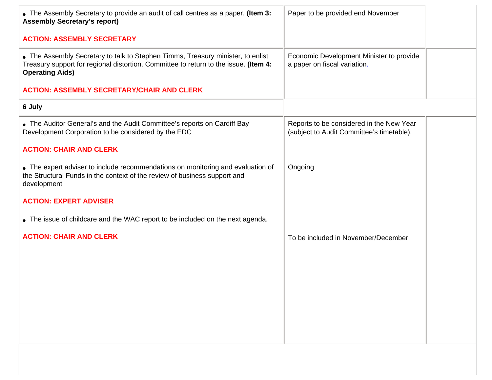| • The Assembly Secretary to provide an audit of call centres as a paper. (Item 3:<br><b>Assembly Secretary's report)</b>                                                                          | Paper to be provided end November                                                     |
|---------------------------------------------------------------------------------------------------------------------------------------------------------------------------------------------------|---------------------------------------------------------------------------------------|
| <b>ACTION: ASSEMBLY SECRETARY</b>                                                                                                                                                                 |                                                                                       |
| • The Assembly Secretary to talk to Stephen Timms, Treasury minister, to enlist<br>Treasury support for regional distortion. Committee to return to the issue. (Item 4:<br><b>Operating Aids)</b> | Economic Development Minister to provide<br>a paper on fiscal variation.              |
| <b>ACTION: ASSEMBLY SECRETARY/CHAIR AND CLERK</b>                                                                                                                                                 |                                                                                       |
| 6 July                                                                                                                                                                                            |                                                                                       |
| • The Auditor General's and the Audit Committee's reports on Cardiff Bay<br>Development Corporation to be considered by the EDC                                                                   | Reports to be considered in the New Year<br>(subject to Audit Committee's timetable). |
| <b>ACTION: CHAIR AND CLERK</b>                                                                                                                                                                    |                                                                                       |
| • The expert adviser to include recommendations on monitoring and evaluation of<br>the Structural Funds in the context of the review of business support and<br>development                       | Ongoing                                                                               |
| <b>ACTION: EXPERT ADVISER</b>                                                                                                                                                                     |                                                                                       |
| • The issue of childcare and the WAC report to be included on the next agenda.                                                                                                                    |                                                                                       |
| <b>ACTION: CHAIR AND CLERK</b>                                                                                                                                                                    | To be included in November/December                                                   |
|                                                                                                                                                                                                   |                                                                                       |
|                                                                                                                                                                                                   |                                                                                       |
|                                                                                                                                                                                                   |                                                                                       |
|                                                                                                                                                                                                   |                                                                                       |
|                                                                                                                                                                                                   |                                                                                       |
|                                                                                                                                                                                                   |                                                                                       |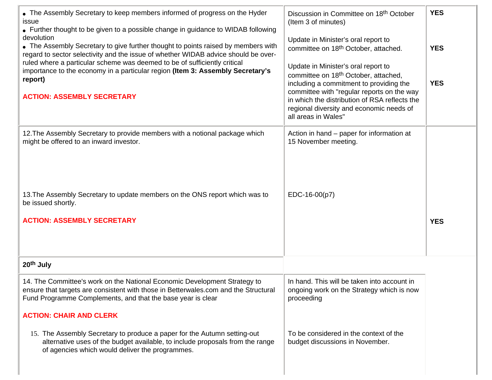| • The Assembly Secretary to keep members informed of progress on the Hyder<br>issue<br>• Further thought to be given to a possible change in guidance to WIDAB following<br>devolution<br>• The Assembly Secretary to give further thought to points raised by members with<br>regard to sector selectivity and the issue of whether WIDAB advice should be over-<br>ruled where a particular scheme was deemed to be of sufficiently critical<br>importance to the economy in a particular region (Item 3: Assembly Secretary's<br>report)<br><b>ACTION: ASSEMBLY SECRETARY</b> | Discussion in Committee on 18 <sup>th</sup> October<br>(Item 3 of minutes)<br>Update in Minister's oral report to<br>committee on 18th October, attached.<br>Update in Minister's oral report to<br>committee on 18 <sup>th</sup> October, attached,<br>including a commitment to providing the<br>committee with "regular reports on the way<br>in which the distribution of RSA reflects the<br>regional diversity and economic needs of<br>all areas in Wales" | <b>YES</b><br><b>YES</b><br><b>YES</b> |
|----------------------------------------------------------------------------------------------------------------------------------------------------------------------------------------------------------------------------------------------------------------------------------------------------------------------------------------------------------------------------------------------------------------------------------------------------------------------------------------------------------------------------------------------------------------------------------|-------------------------------------------------------------------------------------------------------------------------------------------------------------------------------------------------------------------------------------------------------------------------------------------------------------------------------------------------------------------------------------------------------------------------------------------------------------------|----------------------------------------|
| 12. The Assembly Secretary to provide members with a notional package which<br>might be offered to an inward investor.                                                                                                                                                                                                                                                                                                                                                                                                                                                           | Action in hand – paper for information at<br>15 November meeting.                                                                                                                                                                                                                                                                                                                                                                                                 |                                        |
| 13. The Assembly Secretary to update members on the ONS report which was to<br>be issued shortly.<br><b>ACTION: ASSEMBLY SECRETARY</b>                                                                                                                                                                                                                                                                                                                                                                                                                                           | EDC-16-00(p7)                                                                                                                                                                                                                                                                                                                                                                                                                                                     | <b>YES</b>                             |
| 20 <sup>th</sup> July                                                                                                                                                                                                                                                                                                                                                                                                                                                                                                                                                            |                                                                                                                                                                                                                                                                                                                                                                                                                                                                   |                                        |
| 14. The Committee's work on the National Economic Development Strategy to<br>ensure that targets are consistent with those in Betterwales.com and the Structural<br>Fund Programme Complements, and that the base year is clear<br><b>ACTION: CHAIR AND CLERK</b>                                                                                                                                                                                                                                                                                                                | In hand. This will be taken into account in<br>ongoing work on the Strategy which is now<br>proceeding                                                                                                                                                                                                                                                                                                                                                            |                                        |
| 15. The Assembly Secretary to produce a paper for the Autumn setting-out<br>alternative uses of the budget available, to include proposals from the range<br>of agencies which would deliver the programmes.                                                                                                                                                                                                                                                                                                                                                                     | To be considered in the context of the<br>budget discussions in November.                                                                                                                                                                                                                                                                                                                                                                                         |                                        |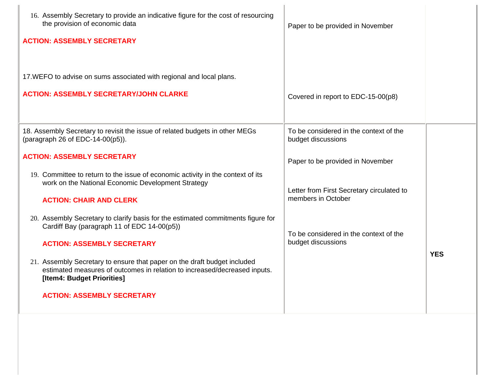| 16. Assembly Secretary to provide an indicative figure for the cost of resourcing<br>the provision of economic data<br><b>ACTION: ASSEMBLY SECRETARY</b>                            | Paper to be provided in November                                |            |
|-------------------------------------------------------------------------------------------------------------------------------------------------------------------------------------|-----------------------------------------------------------------|------------|
| 17. WEFO to advise on sums associated with regional and local plans.<br><b>ACTION: ASSEMBLY SECRETARY/JOHN CLARKE</b>                                                               | Covered in report to EDC-15-00(p8)                              |            |
| 18. Assembly Secretary to revisit the issue of related budgets in other MEGs<br>(paragraph 26 of EDC-14-00(p5)).                                                                    | To be considered in the context of the<br>budget discussions    |            |
| <b>ACTION: ASSEMBLY SECRETARY</b><br>19. Committee to return to the issue of economic activity in the context of its                                                                | Paper to be provided in November                                |            |
| work on the National Economic Development Strategy<br><b>ACTION: CHAIR AND CLERK</b>                                                                                                | Letter from First Secretary circulated to<br>members in October |            |
| 20. Assembly Secretary to clarify basis for the estimated commitments figure for<br>Cardiff Bay (paragraph 11 of EDC 14-00(p5))<br><b>ACTION: ASSEMBLY SECRETARY</b>                | To be considered in the context of the<br>budget discussions    |            |
| 21. Assembly Secretary to ensure that paper on the draft budget included<br>estimated measures of outcomes in relation to increased/decreased inputs.<br>[Item4: Budget Priorities] |                                                                 | <b>YES</b> |
| <b>ACTION: ASSEMBLY SECRETARY</b>                                                                                                                                                   |                                                                 |            |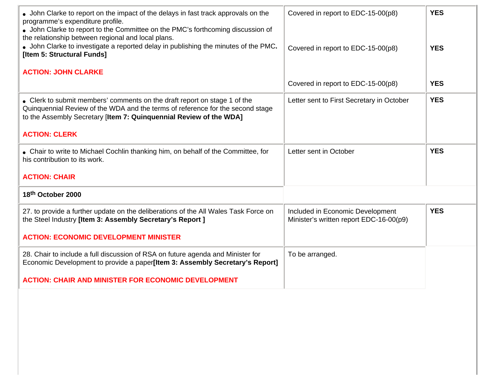| • John Clarke to report on the impact of the delays in fast track approvals on the<br>programme's expenditure profile.<br>• John Clarke to report to the Committee on the PMC's forthcoming discussion of<br>the relationship between regional and local plans.<br>• John Clarke to investigate a reported delay in publishing the minutes of the PMC.<br>[Item 5: Structural Funds] | Covered in report to EDC-15-00(p8)<br>Covered in report to EDC-15-00(p8)    | <b>YES</b><br><b>YES</b> |
|--------------------------------------------------------------------------------------------------------------------------------------------------------------------------------------------------------------------------------------------------------------------------------------------------------------------------------------------------------------------------------------|-----------------------------------------------------------------------------|--------------------------|
| <b>ACTION: JOHN CLARKE</b>                                                                                                                                                                                                                                                                                                                                                           | Covered in report to EDC-15-00(p8)                                          | <b>YES</b>               |
| • Clerk to submit members' comments on the draft report on stage 1 of the<br>Quinquennial Review of the WDA and the terms of reference for the second stage<br>to the Assembly Secretary [Item 7: Quinquennial Review of the WDA]                                                                                                                                                    | Letter sent to First Secretary in October                                   | <b>YES</b>               |
| <b>ACTION: CLERK</b>                                                                                                                                                                                                                                                                                                                                                                 |                                                                             |                          |
| • Chair to write to Michael Cochlin thanking him, on behalf of the Committee, for<br>his contribution to its work.                                                                                                                                                                                                                                                                   | Letter sent in October                                                      | <b>YES</b>               |
| <b>ACTION: CHAIR</b>                                                                                                                                                                                                                                                                                                                                                                 |                                                                             |                          |
| 18th October 2000                                                                                                                                                                                                                                                                                                                                                                    |                                                                             |                          |
| 27. to provide a further update on the deliberations of the All Wales Task Force on<br>the Steel Industry [Item 3: Assembly Secretary's Report ]                                                                                                                                                                                                                                     | Included in Economic Development<br>Minister's written report EDC-16-00(p9) | <b>YES</b>               |
| <b>ACTION: ECONOMIC DEVELOPMENT MINISTER</b>                                                                                                                                                                                                                                                                                                                                         |                                                                             |                          |
| 28. Chair to include a full discussion of RSA on future agenda and Minister for<br>Economic Development to provide a paper[Item 3: Assembly Secretary's Report]                                                                                                                                                                                                                      | To be arranged.                                                             |                          |
| <b>ACTION: CHAIR AND MINISTER FOR ECONOMIC DEVELOPMENT</b>                                                                                                                                                                                                                                                                                                                           |                                                                             |                          |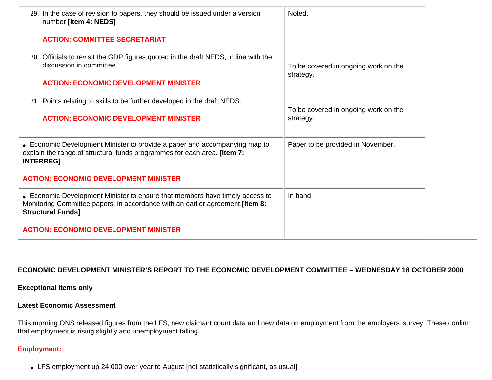| 29. In the case of revision to papers, they should be issued under a version<br>number [Item 4: NEDS]                                                                                      | Noted.                                            |
|--------------------------------------------------------------------------------------------------------------------------------------------------------------------------------------------|---------------------------------------------------|
| <b>ACTION: COMMITTEE SECRETARIAT</b>                                                                                                                                                       |                                                   |
| 30. Officials to revisit the GDP figures quoted in the draft NEDS, in line with the<br>discussion in committee                                                                             | To be covered in ongoing work on the<br>strategy. |
| <b>ACTION: ECONOMIC DEVELOPMENT MINISTER</b>                                                                                                                                               |                                                   |
| 31. Points relating to skills to be further developed in the draft NEDS.                                                                                                                   | To be covered in ongoing work on the              |
| <b>ACTION: ECONOMIC DEVELOPMENT MINISTER</b>                                                                                                                                               | strategy.                                         |
| • Economic Development Minister to provide a paper and accompanying map to<br>explain the range of structural funds programmes for each area. [Item 7:<br><b>INTERREG]</b>                 | Paper to be provided in November.                 |
| <b>ACTION: ECONOMIC DEVELOPMENT MINISTER</b>                                                                                                                                               |                                                   |
| • Economic Development Minister to ensure that members have timely access to<br>Monitoring Committee papers, in accordance with an earlier agreement. [Item 8:<br><b>Structural Funds]</b> | In hand.                                          |
| <b>ACTION: ECONOMIC DEVELOPMENT MINISTER</b>                                                                                                                                               |                                                   |

# **ECONOMIC DEVELOPMENT MINISTER'S REPORT TO THE ECONOMIC DEVELOPMENT COMMITTEE – WEDNESDAY 18 OCTOBER 2000**

**Exceptional items only**

#### **Latest Economic Assessment**

This morning ONS released figures from the LFS, new claimant count data and new data on employment from the employers' survey. These confirm that employment is rising slightly and unemployment falling.

# **Employment:**

• LFS employment up 24,000 over year to August [not statistically significant, as usual]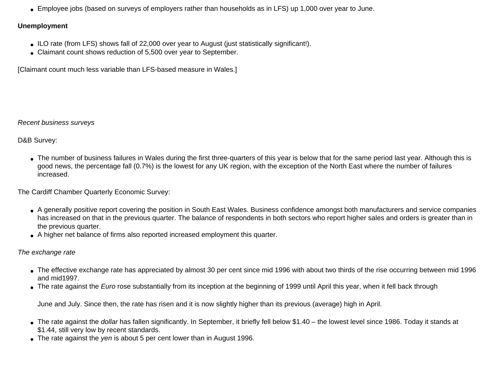• Employee jobs (based on surveys of employers rather than households as in LFS) up 1,000 over year to June.

## **Unemployment**

- ILO rate (from LFS) shows fall of 22,000 over year to August (just statistically significant!).
- Claimant count shows reduction of 5,500 over year to September.

[Claimant count much less variable than LFS-based measure in Wales.]

# *Recent business surveys*

D&B Survey:

• The number of business failures in Wales during the first three-quarters of this year is below that for the same period last year. Although this is good news, the percentage fall (0.7%) is the lowest for any UK region, with the exception of the North East where the number of failures increased.

The Cardiff Chamber Quarterly Economic Survey:

- A generally positive report covering the position in South East Wales. Business confidence amongst both manufacturers and service companies has increased on that in the previous quarter. The balance of respondents in both sectors who report higher sales and orders is greater than in the previous quarter.
- A higher net balance of firms also reported increased employment this quarter.

# *The exchange rate*

- The effective exchange rate has appreciated by almost 30 per cent since mid 1996 with about two thirds of the rise occurring between mid 1996 and mid1997.
- The rate against the *Euro* rose substantially from its inception at the beginning of 1999 until April this year, when it fell back through

June and July. Since then, the rate has risen and it is now slightly higher than its previous (average) high in April.

- The rate against the *dollar* has fallen significantly. In September, it briefly fell below \$1.40 the lowest level since 1986. Today it stands at \$1.44, still very low by recent standards.
- The rate against the *yen* is about 5 per cent lower than in August 1996.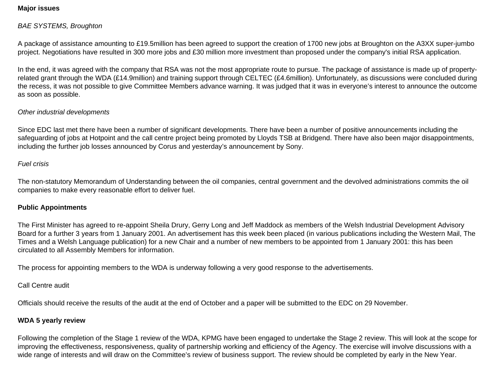## **Major issues**

# *BAE SYSTEMS, Broughton*

A package of assistance amounting to £19.5million has been agreed to support the creation of 1700 new jobs at Broughton on the A3XX super-jumbo project. Negotiations have resulted in 300 more jobs and £30 million more investment than proposed under the company's initial RSA application.

In the end, it was agreed with the company that RSA was not the most appropriate route to pursue. The package of assistance is made up of propertyrelated grant through the WDA (£14.9million) and training support through CELTEC (£4.6million). Unfortunately, as discussions were concluded during the recess, it was not possible to give Committee Members advance warning. It was judged that it was in everyone's interest to announce the outcome as soon as possible.

#### *Other industrial developments*

Since EDC last met there have been a number of significant developments. There have been a number of positive announcements including the safeguarding of jobs at Hotpoint and the call centre project being promoted by Lloyds TSB at Bridgend. There have also been major disappointments, including the further job losses announced by Corus and yesterday's announcement by Sony.

#### *Fuel crisis*

The non-statutory Memorandum of Understanding between the oil companies, central government and the devolved administrations commits the oil companies to make every reasonable effort to deliver fuel.

#### **Public Appointments**

The First Minister has agreed to re-appoint Sheila Drury, Gerry Long and Jeff Maddock as members of the Welsh Industrial Development Advisory Board for a further 3 years from 1 January 2001. An advertisement has this week been placed (in various publications including the Western Mail, The Times and a Welsh Language publication) for a new Chair and a number of new members to be appointed from 1 January 2001: this has been circulated to all Assembly Members for information.

The process for appointing members to the WDA is underway following a very good response to the advertisements.

Call Centre audit

Officials should receive the results of the audit at the end of October and a paper will be submitted to the EDC on 29 November.

#### **WDA 5 yearly review**

Following the completion of the Stage 1 review of the WDA, KPMG have been engaged to undertake the Stage 2 review. This will look at the scope for improving the effectiveness, responsiveness, quality of partnership working and efficiency of the Agency. The exercise will involve discussions with a wide range of interests and will draw on the Committee's review of business support. The review should be completed by early in the New Year.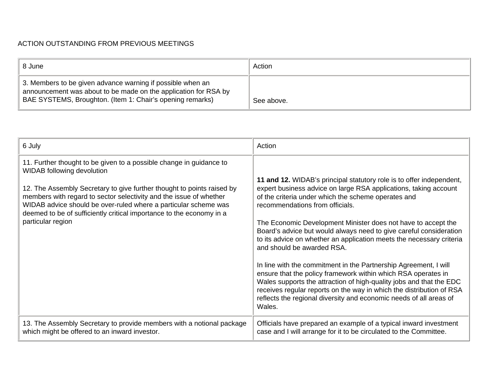# ACTION OUTSTANDING FROM PREVIOUS MEETINGS

| 8 June                                                                                                                                                                                     | Action     |
|--------------------------------------------------------------------------------------------------------------------------------------------------------------------------------------------|------------|
| 3. Members to be given advance warning if possible when an<br>announcement was about to be made on the application for RSA by<br>BAE SYSTEMS, Broughton. (Item 1: Chair's opening remarks) | See above. |

| 6 July                                                                                                                                                                                                                                                                                                                                                                                                                   | Action                                                                                                                                                                                                                                                                                                                                                                                                                                                                                                                                                                                                                                                                                                                                                                                                                                              |
|--------------------------------------------------------------------------------------------------------------------------------------------------------------------------------------------------------------------------------------------------------------------------------------------------------------------------------------------------------------------------------------------------------------------------|-----------------------------------------------------------------------------------------------------------------------------------------------------------------------------------------------------------------------------------------------------------------------------------------------------------------------------------------------------------------------------------------------------------------------------------------------------------------------------------------------------------------------------------------------------------------------------------------------------------------------------------------------------------------------------------------------------------------------------------------------------------------------------------------------------------------------------------------------------|
| 11. Further thought to be given to a possible change in guidance to<br><b>WIDAB following devolution</b><br>12. The Assembly Secretary to give further thought to points raised by<br>members with regard to sector selectivity and the issue of whether<br>WIDAB advice should be over-ruled where a particular scheme was<br>deemed to be of sufficiently critical importance to the economy in a<br>particular region | 11 and 12. WIDAB's principal statutory role is to offer independent,<br>expert business advice on large RSA applications, taking account<br>of the criteria under which the scheme operates and<br>recommendations from officials.<br>The Economic Development Minister does not have to accept the<br>Board's advice but would always need to give careful consideration<br>to its advice on whether an application meets the necessary criteria<br>and should be awarded RSA.<br>In line with the commitment in the Partnership Agreement, I will<br>ensure that the policy framework within which RSA operates in<br>Wales supports the attraction of high-quality jobs and that the EDC<br>receives regular reports on the way in which the distribution of RSA<br>reflects the regional diversity and economic needs of all areas of<br>Wales. |
| 13. The Assembly Secretary to provide members with a notional package<br>which might be offered to an inward investor.                                                                                                                                                                                                                                                                                                   | Officials have prepared an example of a typical inward investment<br>case and I will arrange for it to be circulated to the Committee.                                                                                                                                                                                                                                                                                                                                                                                                                                                                                                                                                                                                                                                                                                              |